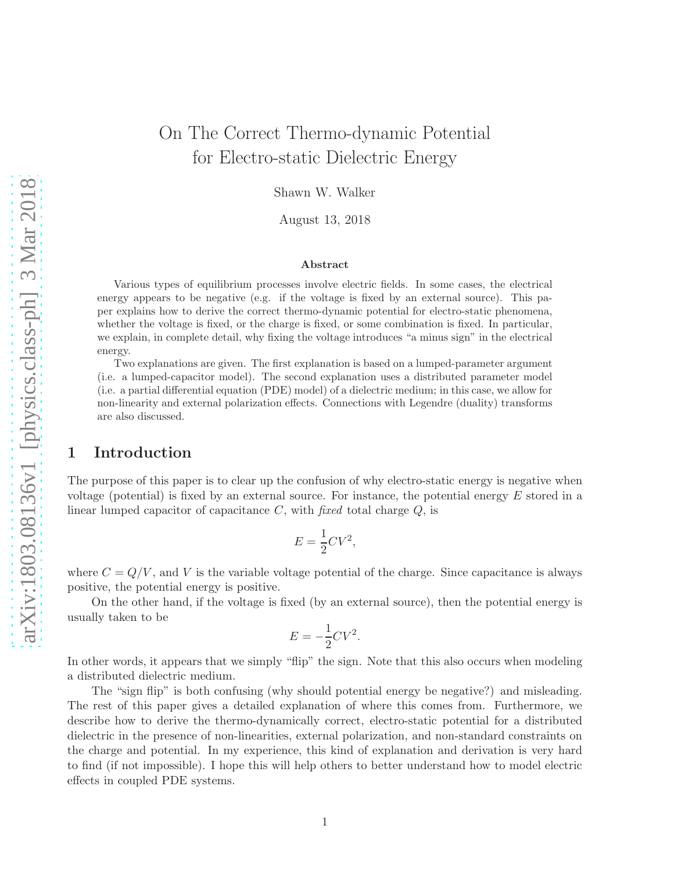# On The Correct Thermo-dynamic Potential for Electro-static Dielectric Energy

Shawn W. Walker

August 13, 2018

#### Abstract

Various types of equilibrium processes involve electric fields. In some cases, the electrical energy appears to be negative (e.g. if the voltage is fixed by an external source). This paper explains how to derive the correct thermo-dynamic potential for electro-static phenomena, whether the voltage is fixed, or the charge is fixed, or some combination is fixed. In particular, we explain, in complete detail, why fixing the voltage introduces "a minus sign" in the electrical energy.

Two explanations are given. The first explanation is based on a lumped-parameter argument (i.e. a lumped-capacitor model). The second explanation uses a distributed parameter model (i.e. a partial differential equation (PDE) model) of a dielectric medium; in this case, we allow for non-linearity and external polarization effects. Connections with Legendre (duality) transforms are also discussed.

## 1 Introduction

The purpose of this paper is to clear up the confusion of why electro-static energy is negative when voltage (potential) is fixed by an external source. For instance, the potential energy  $E$  stored in a linear lumped capacitor of capacitance  $C$ , with fixed total charge  $Q$ , is

$$
E = \frac{1}{2}CV^2,
$$

where  $C = Q/V$ , and V is the variable voltage potential of the charge. Since capacitance is always positive, the potential energy is positive.

On the other hand, if the voltage is fixed (by an external source), then the potential energy is usually taken to be

$$
E = -\frac{1}{2}CV^2.
$$

In other words, it appears that we simply "flip" the sign. Note that this also occurs when modeling a distributed dielectric medium.

The "sign flip" is both confusing (why should potential energy be negative?) and misleading. The rest of this paper gives a detailed explanation of where this comes from. Furthermore, we describe how to derive the thermo-dynamically correct, electro-static potential for a distributed dielectric in the presence of non-linearities, external polarization, and non-standard constraints on the charge and potential. In my experience, this kind of explanation and derivation is very hard to find (if not impossible). I hope this will help others to better understand how to model electric effects in coupled PDE systems.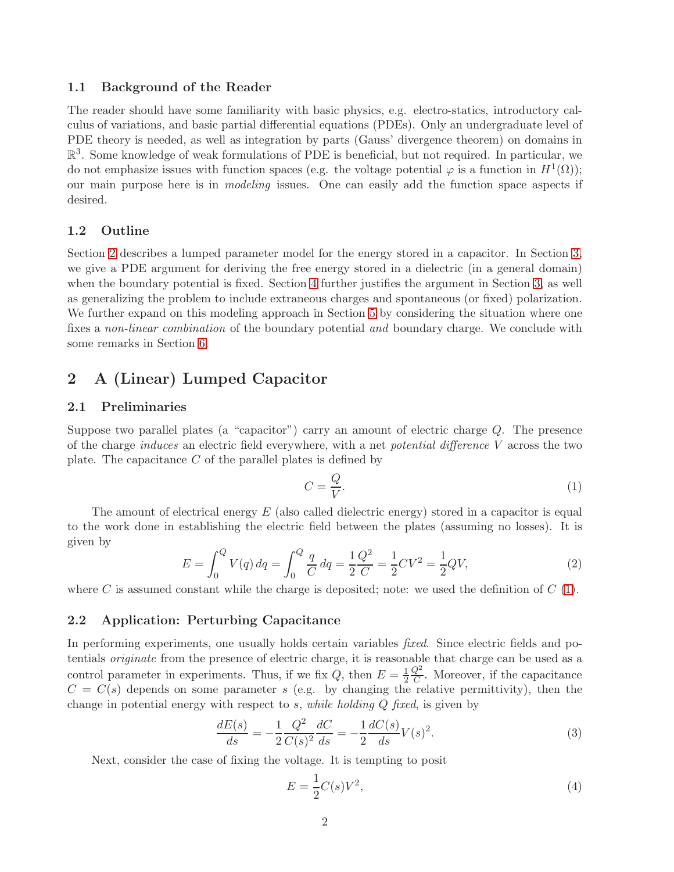### 1.1 Background of the Reader

The reader should have some familiarity with basic physics, e.g. electro-statics, introductory calculus of variations, and basic partial differential equations (PDEs). Only an undergraduate level of PDE theory is needed, as well as integration by parts (Gauss' divergence theorem) on domains in  $\mathbb{R}^3$ . Some knowledge of weak formulations of PDE is beneficial, but not required. In particular, we do not emphasize issues with function spaces (e.g. the voltage potential  $\varphi$  is a function in  $H^1(\Omega)$ ); our main purpose here is in modeling issues. One can easily add the function space aspects if desired.

#### 1.2 Outline

Section [2](#page-1-0) describes a lumped parameter model for the energy stored in a capacitor. In Section [3,](#page-4-0) we give a PDE argument for deriving the free energy stored in a dielectric (in a general domain) when the boundary potential is fixed. Section [4](#page-6-0) further justifies the argument in Section [3,](#page-4-0) as well as generalizing the problem to include extraneous charges and spontaneous (or fixed) polarization. We further expand on this modeling approach in Section [5](#page-10-0) by considering the situation where one fixes a non-linear combination of the boundary potential and boundary charge. We conclude with some remarks in Section [6.](#page-11-0)

# <span id="page-1-0"></span>2 A (Linear) Lumped Capacitor

### <span id="page-1-4"></span>2.1 Preliminaries

Suppose two parallel plates (a "capacitor") carry an amount of electric charge Q. The presence of the charge *induces* an electric field everywhere, with a net *potential difference* V across the two plate. The capacitance  $C$  of the parallel plates is defined by

<span id="page-1-1"></span>
$$
C = \frac{Q}{V}.\tag{1}
$$

<span id="page-1-6"></span>The amount of electrical energy  $E$  (also called dielectric energy) stored in a capacitor is equal to the work done in establishing the electric field between the plates (assuming no losses). It is given by

$$
E = \int_0^Q V(q) \, dq = \int_0^Q \frac{q}{C} \, dq = \frac{1}{2} \frac{Q^2}{C} = \frac{1}{2} CV^2 = \frac{1}{2} QV,\tag{2}
$$

where C is assumed constant while the charge is deposited; note: we used the definition of  $C(1)$  $C(1)$ .

### <span id="page-1-5"></span>2.2 Application: Perturbing Capacitance

In performing experiments, one usually holds certain variables *fixed*. Since electric fields and potentials originate from the presence of electric charge, it is reasonable that charge can be used as a control parameter in experiments. Thus, if we fix Q, then  $E = \frac{1}{2}$  $rac{1}{2} \frac{Q^2}{C}$  $\frac{Q^2}{C}$ . Moreover, if the capacitance  $C = C(s)$  depends on some parameter s (e.g. by changing the relative permittivity), then the change in potential energy with respect to s, while holding Q fixed, is given by

$$
\frac{dE(s)}{ds} = -\frac{1}{2}\frac{Q^2}{C(s)^2}\frac{dC}{ds} = -\frac{1}{2}\frac{dC(s)}{ds}V(s)^2.
$$
\n(3)

Next, consider the case of fixing the voltage. It is tempting to posit

<span id="page-1-3"></span><span id="page-1-2"></span>
$$
E = \frac{1}{2}C(s)V^2,
$$
\n<sup>(4)</sup>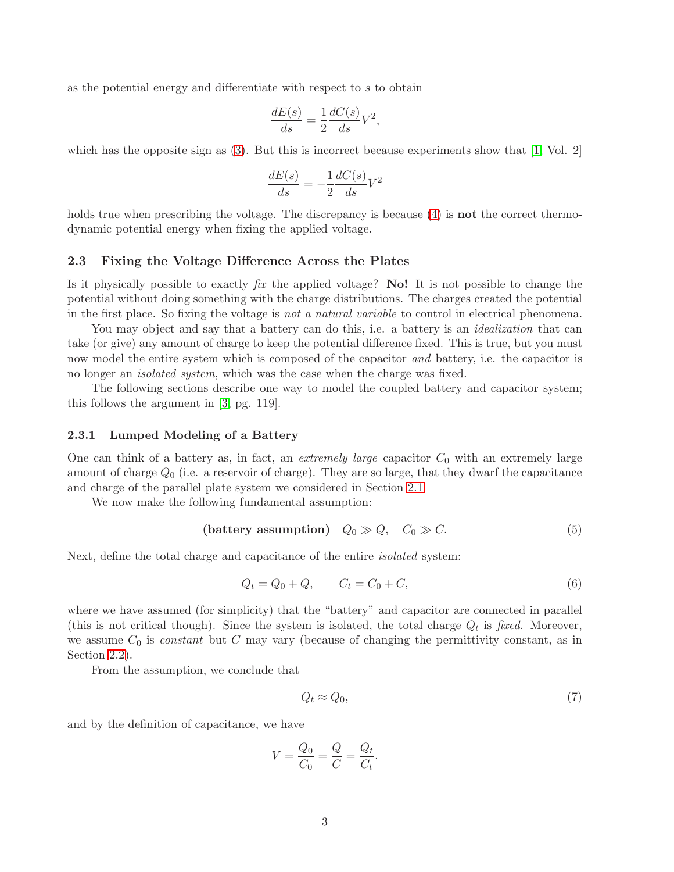as the potential energy and differentiate with respect to s to obtain

$$
\frac{dE(s)}{ds} = \frac{1}{2} \frac{dC(s)}{ds} V^2,
$$

which has the opposite sign as  $(3)$ . But this is incorrect because experiments show that  $[1, Vol. 2]$ 

$$
\frac{dE(s)}{ds} = -\frac{1}{2}\frac{dC(s)}{ds}V^2
$$

holds true when prescribing the voltage. The discrepancy is because [\(4\)](#page-1-3) is **not** the correct thermodynamic potential energy when fixing the applied voltage.

#### 2.3 Fixing the Voltage Difference Across the Plates

Is it physically possible to exactly  $\hat{f}x$  the applied voltage? No! It is not possible to change the potential without doing something with the charge distributions. The charges created the potential in the first place. So fixing the voltage is not a natural variable to control in electrical phenomena.

You may object and say that a battery can do this, i.e. a battery is an *idealization* that can take (or give) any amount of charge to keep the potential difference fixed. This is true, but you must now model the entire system which is composed of the capacitor *and* battery, i.e. the capacitor is no longer an isolated system, which was the case when the charge was fixed.

The following sections describe one way to model the coupled battery and capacitor system; this follows the argument in [\[3,](#page-12-1) pg. 119].

#### 2.3.1 Lumped Modeling of a Battery

One can think of a battery as, in fact, an *extremely large* capacitor  $C_0$  with an extremely large amount of charge  $Q_0$  (i.e. a reservoir of charge). They are so large, that they dwarf the capacitance and charge of the parallel plate system we considered in Section [2.1.](#page-1-4)

We now make the following fundamental assumption:

$$
(battery assumption) Q0 \gg Q, C0 \gg C.
$$
 (5)

Next, define the total charge and capacitance of the entire *isolated* system:

$$
Q_t = Q_0 + Q, \t C_t = C_0 + C,
$$
\t(6)

where we have assumed (for simplicity) that the "battery" and capacitor are connected in parallel (this is not critical though). Since the system is isolated, the total charge  $Q_t$  is fixed. Moreover, we assume  $C_0$  is *constant* but C may vary (because of changing the permittivity constant, as in Section [2.2\)](#page-1-5).

From the assumption, we conclude that

$$
Q_t \approx Q_0,\tag{7}
$$

and by the definition of capacitance, we have

$$
V = \frac{Q_0}{C_0} = \frac{Q}{C} = \frac{Q_t}{C_t}.
$$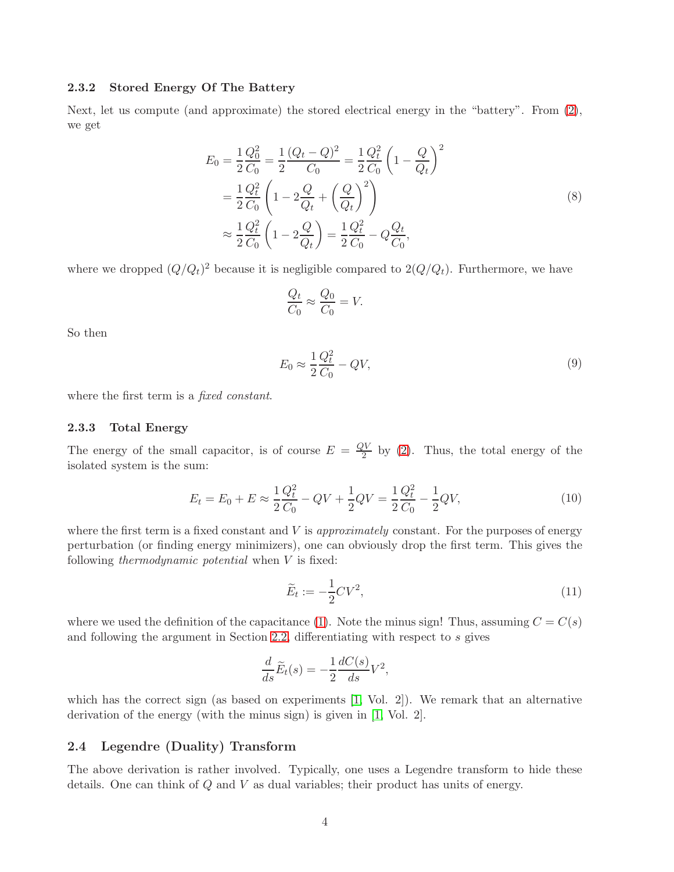#### 2.3.2 Stored Energy Of The Battery

Next, let us compute (and approximate) the stored electrical energy in the "battery". From [\(2\)](#page-1-6), we get

$$
E_0 = \frac{1}{2} \frac{Q_0^2}{C_0} = \frac{1}{2} \frac{(Q_t - Q)^2}{C_0} = \frac{1}{2} \frac{Q_t^2}{C_0} \left( 1 - \frac{Q}{Q_t} \right)^2
$$
  
=  $\frac{1}{2} \frac{Q_t^2}{C_0} \left( 1 - 2\frac{Q}{Q_t} + \left(\frac{Q}{Q_t}\right)^2 \right)$   
 $\approx \frac{1}{2} \frac{Q_t^2}{C_0} \left( 1 - 2\frac{Q}{Q_t} \right) = \frac{1}{2} \frac{Q_t^2}{C_0} - Q \frac{Q_t}{C_0},$  (8)

where we dropped  $(Q/Q_t)^2$  because it is negligible compared to  $2(Q/Q_t)$ . Furthermore, we have

$$
\frac{Q_t}{C_0} \approx \frac{Q_0}{C_0} = V.
$$

So then

$$
E_0 \approx \frac{1}{2} \frac{Q_t^2}{C_0} - QV,\tag{9}
$$

where the first term is a *fixed constant*.

#### 2.3.3 Total Energy

The energy of the small capacitor, is of course  $E = \frac{QV}{2}$  by [\(2\)](#page-1-6). Thus, the total energy of the isolated system is the sum:

$$
E_t = E_0 + E \approx \frac{1}{2} \frac{Q_t^2}{C_0} - QV + \frac{1}{2} QV = \frac{1}{2} \frac{Q_t^2}{C_0} - \frac{1}{2} QV,
$$
\n(10)

where the first term is a fixed constant and  $V$  is *approximately* constant. For the purposes of energy perturbation (or finding energy minimizers), one can obviously drop the first term. This gives the following *thermodynamic potential* when  $V$  is fixed:

$$
\widetilde{E}_t := -\frac{1}{2}CV^2,\tag{11}
$$

where we used the definition of the capacitance [\(1\)](#page-1-1). Note the minus sign! Thus, assuming  $C = C(s)$ and following the argument in Section [2.2,](#page-1-5) differentiating with respect to  $s$  gives

$$
\frac{d}{ds}\widetilde{E}_t(s) = -\frac{1}{2}\frac{dC(s)}{ds}V^2,
$$

which has the correct sign (as based on experiments  $[1, Vol. 2]$ ). We remark that an alternative derivation of the energy (with the minus sign) is given in [\[1,](#page-12-0) Vol. 2].

#### 2.4 Legendre (Duality) Transform

The above derivation is rather involved. Typically, one uses a Legendre transform to hide these details. One can think of Q and V as dual variables; their product has units of energy.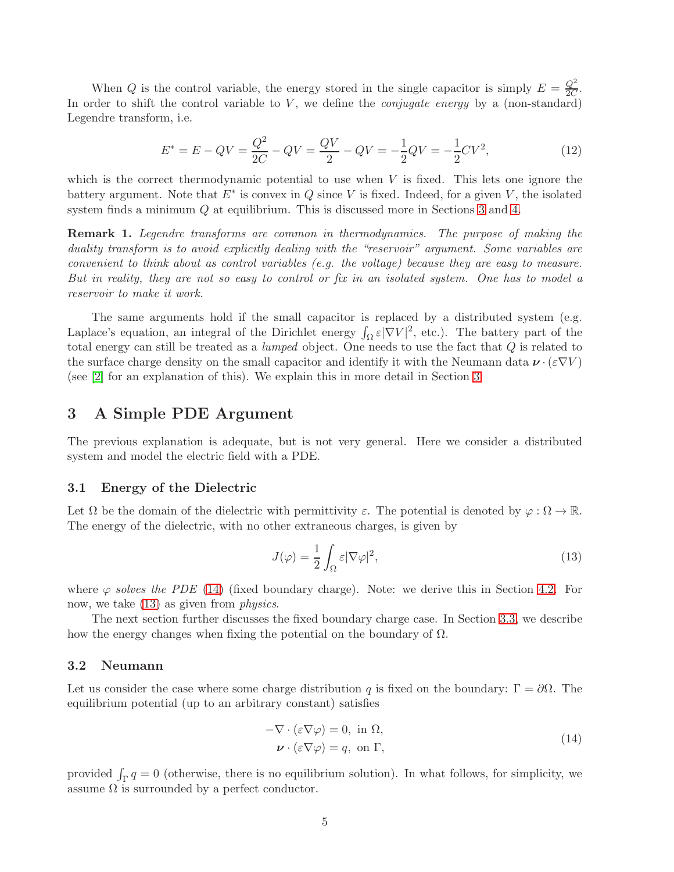When Q is the control variable, the energy stored in the single capacitor is simply  $E = \frac{Q^2}{2C}$  $\frac{Q}{2C}$ . In order to shift the control variable to  $V$ , we define the *conjugate energy* by a (non-standard) Legendre transform, i.e.

$$
E^* = E - QV = \frac{Q^2}{2C} - QV = \frac{QV}{2} - QV = -\frac{1}{2}QV = -\frac{1}{2}CV^2,
$$
\n(12)

which is the correct thermodynamic potential to use when  $V$  is fixed. This lets one ignore the battery argument. Note that  $E^*$  is convex in Q since V is fixed. Indeed, for a given V, the isolated system finds a minimum Q at equilibrium. This is discussed more in Sections [3](#page-4-0) and [4.](#page-6-0)

Remark 1. Legendre transforms are common in thermodynamics. The purpose of making the duality transform is to avoid explicitly dealing with the "reservoir" argument. Some variables are convenient to think about as control variables (e.g. the voltage) because they are easy to measure. But in reality, they are not so easy to control or fix in an isolated system. One has to model a reservoir to make it work.

The same arguments hold if the small capacitor is replaced by a distributed system (e.g. Laplace's equation, an integral of the Dirichlet energy  $\int_{\Omega} \varepsilon |\nabla V|^2$ , etc.). The battery part of the total energy can still be treated as a lumped object. One needs to use the fact that Q is related to the surface charge density on the small capacitor and identify it with the Neumann data  $\nu \cdot (\varepsilon \nabla V)$ (see [\[2\]](#page-12-2) for an explanation of this). We explain this in more detail in Section [3.](#page-4-0)

# <span id="page-4-0"></span>3 A Simple PDE Argument

The previous explanation is adequate, but is not very general. Here we consider a distributed system and model the electric field with a PDE.

#### 3.1 Energy of the Dielectric

Let  $\Omega$  be the domain of the dielectric with permittivity  $\varepsilon$ . The potential is denoted by  $\varphi : \Omega \to \mathbb{R}$ . The energy of the dielectric, with no other extraneous charges, is given by

<span id="page-4-2"></span>
$$
J(\varphi) = \frac{1}{2} \int_{\Omega} \varepsilon |\nabla \varphi|^2,\tag{13}
$$

where  $\varphi$  solves the PDE [\(14\)](#page-4-1) (fixed boundary charge). Note: we derive this in Section [4.2.](#page-7-0) For now, we take  $(13)$  as given from *physics*.

The next section further discusses the fixed boundary charge case. In Section [3.3,](#page-5-0) we describe how the energy changes when fixing the potential on the boundary of  $\Omega$ .

#### 3.2 Neumann

Let us consider the case where some charge distribution q is fixed on the boundary:  $\Gamma = \partial \Omega$ . The equilibrium potential (up to an arbitrary constant) satisfies

<span id="page-4-1"></span>
$$
-\nabla \cdot (\varepsilon \nabla \varphi) = 0, \text{ in } \Omega,
$$
  

$$
\nu \cdot (\varepsilon \nabla \varphi) = q, \text{ on } \Gamma,
$$
 (14)

provided  $\int_{\Gamma} q = 0$  (otherwise, there is no equilibrium solution). In what follows, for simplicity, we assume  $\Omega$  is surrounded by a perfect conductor.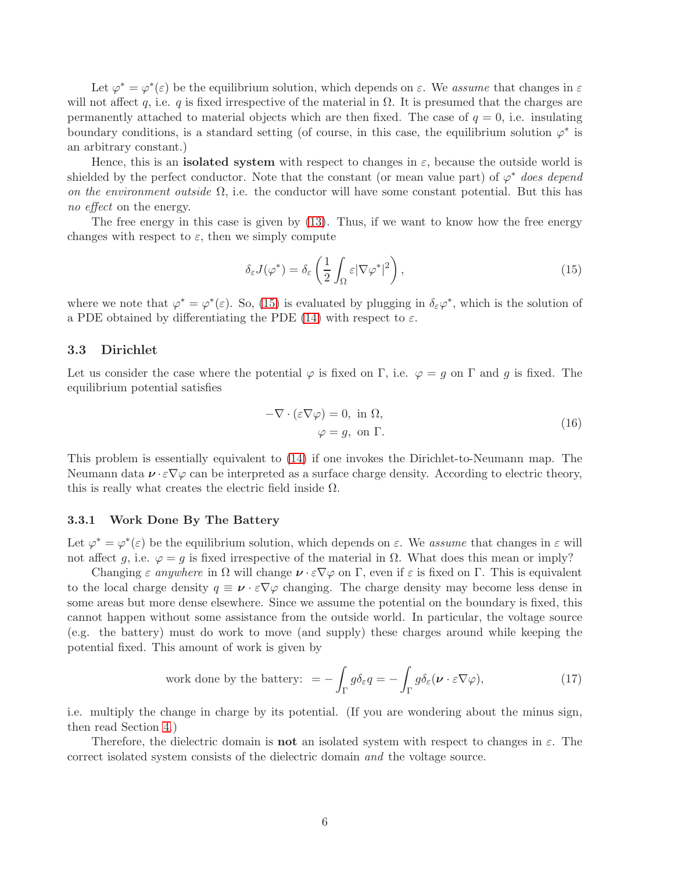Let  $\varphi^* = \varphi^*(\varepsilon)$  be the equilibrium solution, which depends on  $\varepsilon$ . We assume that changes in  $\varepsilon$ will not affect q, i.e. q is fixed irrespective of the material in  $\Omega$ . It is presumed that the charges are permanently attached to material objects which are then fixed. The case of  $q = 0$ , i.e. insulating boundary conditions, is a standard setting (of course, in this case, the equilibrium solution  $\varphi^*$  is an arbitrary constant.)

Hence, this is an **isolated system** with respect to changes in  $\varepsilon$ , because the outside world is shielded by the perfect conductor. Note that the constant (or mean value part) of  $\varphi^*$  does depend on the environment outside  $\Omega$ , i.e. the conductor will have some constant potential. But this has no *effect* on the energy.

The free energy in this case is given by [\(13\)](#page-4-2). Thus, if we want to know how the free energy changes with respect to  $\varepsilon$ , then we simply compute

<span id="page-5-1"></span>
$$
\delta_{\varepsilon} J(\varphi^*) = \delta_{\varepsilon} \left( \frac{1}{2} \int_{\Omega} \varepsilon |\nabla \varphi^*|^2 \right),\tag{15}
$$

where we note that  $\varphi^* = \varphi^*(\varepsilon)$ . So, [\(15\)](#page-5-1) is evaluated by plugging in  $\delta_{\varepsilon} \varphi^*$ , which is the solution of a PDE obtained by differentiating the PDE [\(14\)](#page-4-1) with respect to  $\varepsilon$ .

#### <span id="page-5-0"></span>3.3 Dirichlet

Let us consider the case where the potential  $\varphi$  is fixed on Γ, i.e.  $\varphi = q$  on Γ and q is fixed. The equilibrium potential satisfies

<span id="page-5-2"></span>
$$
-\nabla \cdot (\varepsilon \nabla \varphi) = 0, \text{ in } \Omega,
$$
  

$$
\varphi = g, \text{ on } \Gamma.
$$
 (16)

This problem is essentially equivalent to [\(14\)](#page-4-1) if one invokes the Dirichlet-to-Neumann map. The Neumann data  $v \cdot \varepsilon \nabla \varphi$  can be interpreted as a surface charge density. According to electric theory, this is really what creates the electric field inside  $\Omega$ .

### 3.3.1 Work Done By The Battery

Let  $\varphi^* = \varphi^*(\varepsilon)$  be the equilibrium solution, which depends on  $\varepsilon$ . We assume that changes in  $\varepsilon$  will not affect g, i.e.  $\varphi = g$  is fixed irrespective of the material in  $\Omega$ . What does this mean or imply?

Changing  $\varepsilon$  anywhere in  $\Omega$  will change  $\nu \cdot \varepsilon \nabla \varphi$  on  $\Gamma$ , even if  $\varepsilon$  is fixed on  $\Gamma$ . This is equivalent to the local charge density  $q \equiv \nu \cdot \varepsilon \nabla \varphi$  changing. The charge density may become less dense in some areas but more dense elsewhere. Since we assume the potential on the boundary is fixed, this cannot happen without some assistance from the outside world. In particular, the voltage source (e.g. the battery) must do work to move (and supply) these charges around while keeping the potential fixed. This amount of work is given by

<span id="page-5-3"></span>work done by the battery: 
$$
= -\int_{\Gamma} g \delta_{\varepsilon} q = -\int_{\Gamma} g \delta_{\varepsilon} (\nu \cdot \varepsilon \nabla \varphi),
$$
 (17)

i.e. multiply the change in charge by its potential. (If you are wondering about the minus sign, then read Section [4.](#page-6-0))

Therefore, the dielectric domain is **not** an isolated system with respect to changes in  $\varepsilon$ . The correct isolated system consists of the dielectric domain and the voltage source.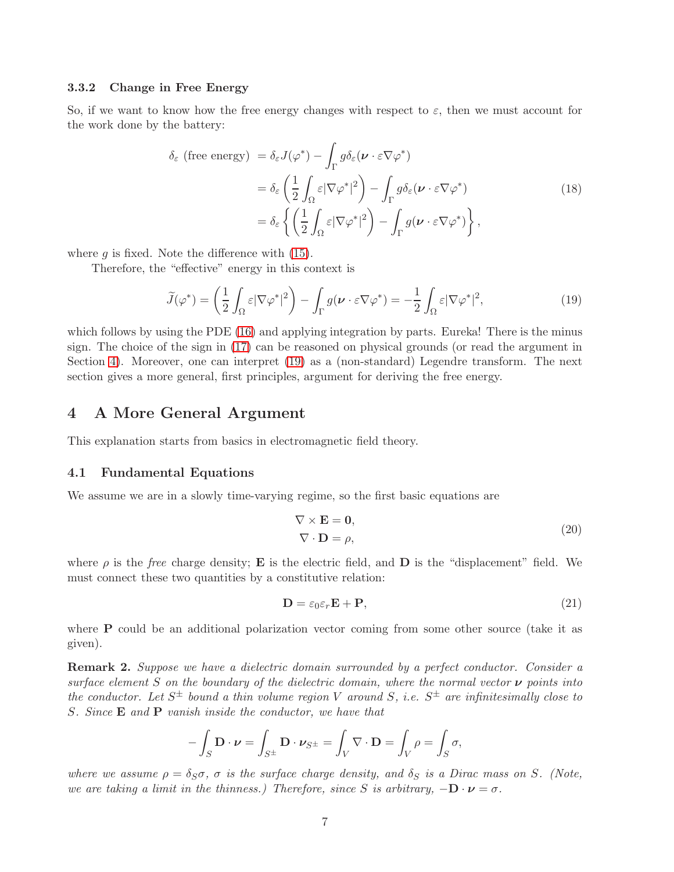#### 3.3.2 Change in Free Energy

So, if we want to know how the free energy changes with respect to  $\varepsilon$ , then we must account for the work done by the battery:

$$
\delta_{\varepsilon} \text{ (free energy)} = \delta_{\varepsilon} J(\varphi^*) - \int_{\Gamma} g \delta_{\varepsilon} (\boldsymbol{\nu} \cdot \varepsilon \nabla \varphi^*)
$$
  
\n
$$
= \delta_{\varepsilon} \left( \frac{1}{2} \int_{\Omega} \varepsilon |\nabla \varphi^*|^2 \right) - \int_{\Gamma} g \delta_{\varepsilon} (\boldsymbol{\nu} \cdot \varepsilon \nabla \varphi^*)
$$
  
\n
$$
= \delta_{\varepsilon} \left\{ \left( \frac{1}{2} \int_{\Omega} \varepsilon |\nabla \varphi^*|^2 \right) - \int_{\Gamma} g(\boldsymbol{\nu} \cdot \varepsilon \nabla \varphi^*) \right\},
$$
\n(18)

where  $g$  is fixed. Note the difference with  $(15)$ .

Therefore, the "effective" energy in this context is

<span id="page-6-1"></span>
$$
\widetilde{J}(\varphi^*) = \left(\frac{1}{2} \int_{\Omega} \varepsilon |\nabla \varphi^*|^2\right) - \int_{\Gamma} g(\nu \cdot \varepsilon \nabla \varphi^*) = -\frac{1}{2} \int_{\Omega} \varepsilon |\nabla \varphi^*|^2,\tag{19}
$$

which follows by using the PDE [\(16\)](#page-5-2) and applying integration by parts. Eureka! There is the minus sign. The choice of the sign in [\(17\)](#page-5-3) can be reasoned on physical grounds (or read the argument in Section [4\)](#page-6-0). Moreover, one can interpret [\(19\)](#page-6-1) as a (non-standard) Legendre transform. The next section gives a more general, first principles, argument for deriving the free energy.

## <span id="page-6-0"></span>4 A More General Argument

This explanation starts from basics in electromagnetic field theory.

#### 4.1 Fundamental Equations

We assume we are in a slowly time-varying regime, so the first basic equations are

<span id="page-6-3"></span><span id="page-6-2"></span>
$$
\nabla \times \mathbf{E} = \mathbf{0},
$$
  
\n
$$
\nabla \cdot \mathbf{D} = \rho,
$$
\n(20)

where  $\rho$  is the free charge density; **E** is the electric field, and **D** is the "displacement" field. We must connect these two quantities by a constitutive relation:

$$
\mathbf{D} = \varepsilon_0 \varepsilon_r \mathbf{E} + \mathbf{P},\tag{21}
$$

where **P** could be an additional polarization vector coming from some other source (take it as given).

**Remark 2.** Suppose we have a dielectric domain surrounded by a perfect conductor. Consider a surface element S on the boundary of the dielectric domain, where the normal vector  $\nu$  points into the conductor. Let  $S^{\pm}$  bound a thin volume region V around S, i.e.  $S^{\pm}$  are infinitesimally close to S. Since E and P vanish inside the conductor, we have that

$$
-\int_{S} \mathbf{D} \cdot \boldsymbol{\nu} = \int_{S^{\pm}} \mathbf{D} \cdot \boldsymbol{\nu}_{S^{\pm}} = \int_{V} \nabla \cdot \mathbf{D} = \int_{V} \rho = \int_{S} \sigma,
$$

where we assume  $\rho = \delta_S \sigma$ ,  $\sigma$  is the surface charge density, and  $\delta_S$  is a Dirac mass on S. (Note, we are taking a limit in the thinness.) Therefore, since S is arbitrary,  $-\mathbf{D} \cdot \mathbf{\nu} = \sigma$ .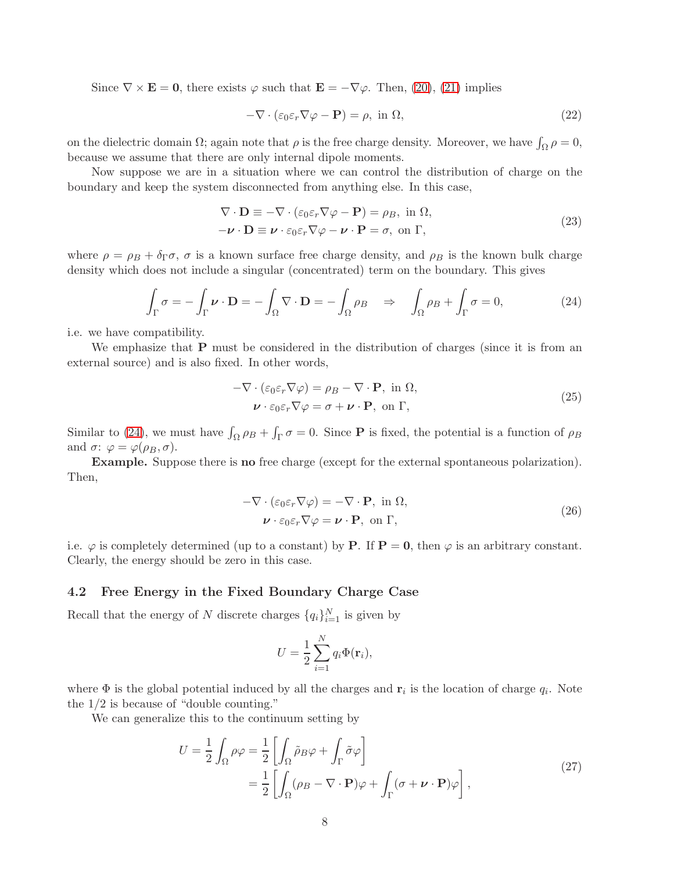Since  $\nabla \times \mathbf{E} = \mathbf{0}$ , there exists  $\varphi$  such that  $\mathbf{E} = -\nabla \varphi$ . Then, [\(20\)](#page-6-2), [\(21\)](#page-6-3) implies

$$
-\nabla \cdot (\varepsilon_0 \varepsilon_r \nabla \varphi - \mathbf{P}) = \rho, \text{ in } \Omega,
$$
\n(22)

on the dielectric domain  $\Omega$ ; again note that  $\rho$  is the free charge density. Moreover, we have  $\int_{\Omega} \rho = 0$ , because we assume that there are only internal dipole moments.

Now suppose we are in a situation where we can control the distribution of charge on the boundary and keep the system disconnected from anything else. In this case,

<span id="page-7-1"></span>
$$
\nabla \cdot \mathbf{D} \equiv -\nabla \cdot (\varepsilon_0 \varepsilon_r \nabla \varphi - \mathbf{P}) = \rho_B, \text{ in } \Omega,
$$
  
\n
$$
-\nu \cdot \mathbf{D} \equiv \nu \cdot \varepsilon_0 \varepsilon_r \nabla \varphi - \nu \cdot \mathbf{P} = \sigma, \text{ on } \Gamma,
$$
\n(23)

where  $\rho = \rho_B + \delta_\Gamma \sigma$ ,  $\sigma$  is a known surface free charge density, and  $\rho_B$  is the known bulk charge density which does not include a singular (concentrated) term on the boundary. This gives

$$
\int_{\Gamma} \sigma = -\int_{\Gamma} \nu \cdot \mathbf{D} = -\int_{\Omega} \nabla \cdot \mathbf{D} = -\int_{\Omega} \rho_B \quad \Rightarrow \quad \int_{\Omega} \rho_B + \int_{\Gamma} \sigma = 0,\tag{24}
$$

i.e. we have compatibility.

We emphasize that  $P$  must be considered in the distribution of charges (since it is from an external source) and is also fixed. In other words,

<span id="page-7-2"></span>
$$
-\nabla \cdot (\varepsilon_0 \varepsilon_r \nabla \varphi) = \rho_B - \nabla \cdot \mathbf{P}, \text{ in } \Omega,
$$
  

$$
\boldsymbol{\nu} \cdot \varepsilon_0 \varepsilon_r \nabla \varphi = \sigma + \boldsymbol{\nu} \cdot \mathbf{P}, \text{ on } \Gamma,
$$
 (25)

Similar to [\(24\)](#page-7-1), we must have  $\int_{\Omega} \rho_B + \int_{\Gamma} \sigma = 0$ . Since **P** is fixed, the potential is a function of  $\rho_B$ and  $\sigma: \varphi = \varphi(\rho_B, \sigma)$ .

Example. Suppose there is no free charge (except for the external spontaneous polarization). Then,

$$
-\nabla \cdot (\varepsilon_0 \varepsilon_r \nabla \varphi) = -\nabla \cdot \mathbf{P}, \text{ in } \Omega,
$$
  

$$
\boldsymbol{\nu} \cdot \varepsilon_0 \varepsilon_r \nabla \varphi = \boldsymbol{\nu} \cdot \mathbf{P}, \text{ on } \Gamma,
$$
 (26)

i.e.  $\varphi$  is completely determined (up to a constant) by **P**. If **P** = **0**, then  $\varphi$  is an arbitrary constant. Clearly, the energy should be zero in this case.

#### <span id="page-7-0"></span>4.2 Free Energy in the Fixed Boundary Charge Case

Recall that the energy of N discrete charges  $\{q_i\}_{i=1}^N$  is given by

<span id="page-7-3"></span>
$$
U = \frac{1}{2} \sum_{i=1}^{N} q_i \Phi(\mathbf{r}_i),
$$

where  $\Phi$  is the global potential induced by all the charges and  $\mathbf{r}_i$  is the location of charge  $q_i$ . Note the 1/2 is because of "double counting."

We can generalize this to the continuum setting by

$$
U = \frac{1}{2} \int_{\Omega} \rho \varphi = \frac{1}{2} \left[ \int_{\Omega} \tilde{\rho}_B \varphi + \int_{\Gamma} \tilde{\sigma} \varphi \right]
$$
  
= 
$$
\frac{1}{2} \left[ \int_{\Omega} (\rho_B - \nabla \cdot \mathbf{P}) \varphi + \int_{\Gamma} (\sigma + \nu \cdot \mathbf{P}) \varphi \right],
$$
 (27)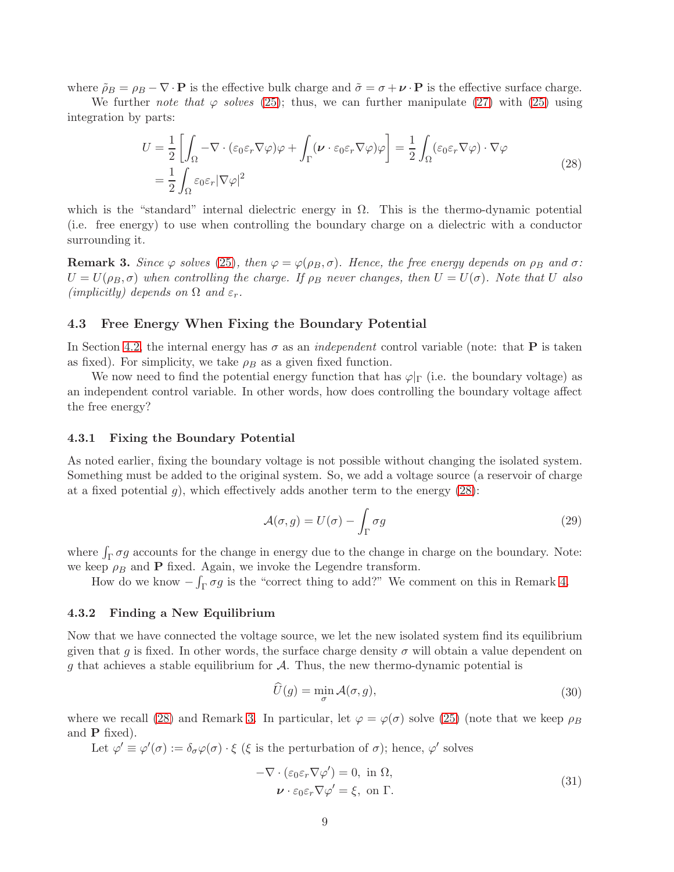where  $\tilde{\rho}_B = \rho_B - \nabla \cdot \mathbf{P}$  is the effective bulk charge and  $\tilde{\sigma} = \sigma + \nu \cdot \mathbf{P}$  is the effective surface charge.

We further note that  $\varphi$  solves [\(25\)](#page-7-2); thus, we can further manipulate [\(27\)](#page-7-3) with [\(25\)](#page-7-2) using integration by parts:

<span id="page-8-0"></span>
$$
U = \frac{1}{2} \left[ \int_{\Omega} -\nabla \cdot (\varepsilon_0 \varepsilon_r \nabla \varphi) \varphi + \int_{\Gamma} (\nu \cdot \varepsilon_0 \varepsilon_r \nabla \varphi) \varphi \right] = \frac{1}{2} \int_{\Omega} (\varepsilon_0 \varepsilon_r \nabla \varphi) \cdot \nabla \varphi
$$
  
= 
$$
\frac{1}{2} \int_{\Omega} \varepsilon_0 \varepsilon_r |\nabla \varphi|^2
$$
 (28)

which is the "standard" internal dielectric energy in  $\Omega$ . This is the thermo-dynamic potential (i.e. free energy) to use when controlling the boundary charge on a dielectric with a conductor surrounding it.

<span id="page-8-1"></span>**Remark 3.** Since  $\varphi$  solves [\(25\)](#page-7-2), then  $\varphi = \varphi(\rho_B, \sigma)$ . Hence, the free energy depends on  $\rho_B$  and  $\sigma$ :  $U = U(\rho_B, \sigma)$  when controlling the charge. If  $\rho_B$  never changes, then  $U = U(\sigma)$ . Note that U also (implicitly) depends on  $\Omega$  and  $\varepsilon_r$ .

#### 4.3 Free Energy When Fixing the Boundary Potential

In Section [4.2,](#page-7-0) the internal energy has  $\sigma$  as an *independent* control variable (note: that **P** is taken as fixed). For simplicity, we take  $\rho_B$  as a given fixed function.

We now need to find the potential energy function that has  $\varphi|_{\Gamma}$  (i.e. the boundary voltage) as an independent control variable. In other words, how does controlling the boundary voltage affect the free energy?

#### 4.3.1 Fixing the Boundary Potential

As noted earlier, fixing the boundary voltage is not possible without changing the isolated system. Something must be added to the original system. So, we add a voltage source (a reservoir of charge at a fixed potential  $g$ , which effectively adds another term to the energy  $(28)$ :

<span id="page-8-4"></span>
$$
\mathcal{A}(\sigma, g) = U(\sigma) - \int_{\Gamma} \sigma g \tag{29}
$$

where  $\int_{\Gamma} \sigma g$  accounts for the change in energy due to the change in charge on the boundary. Note: we keep  $\rho_B$  and **P** fixed. Again, we invoke the Legendre transform.

How do we know  $-\int_{\Gamma} \sigma g$  is the "correct thing to add?" We comment on this in Remark [4.](#page-9-0)

#### 4.3.2 Finding a New Equilibrium

Now that we have connected the voltage source, we let the new isolated system find its equilibrium given that g is fixed. In other words, the surface charge density  $\sigma$  will obtain a value dependent on g that achieves a stable equilibrium for  $A$ . Thus, the new thermo-dynamic potential is

<span id="page-8-3"></span><span id="page-8-2"></span>
$$
\widehat{U}(g) = \min_{\sigma} \mathcal{A}(\sigma, g),\tag{30}
$$

where we recall [\(28\)](#page-8-0) and Remark [3.](#page-8-1) In particular, let  $\varphi = \varphi(\sigma)$  solve [\(25\)](#page-7-2) (note that we keep  $\rho_B$ and P fixed).

Let  $\varphi' \equiv \varphi'(\sigma) := \delta_{\sigma} \varphi(\sigma) \cdot \xi$  ( $\xi$  is the perturbation of  $\sigma$ ); hence,  $\varphi'$  solves

$$
-\nabla \cdot (\varepsilon_0 \varepsilon_r \nabla \varphi') = 0, \text{ in } \Omega,
$$
  

$$
\nu \cdot \varepsilon_0 \varepsilon_r \nabla \varphi' = \xi, \text{ on } \Gamma.
$$
 (31)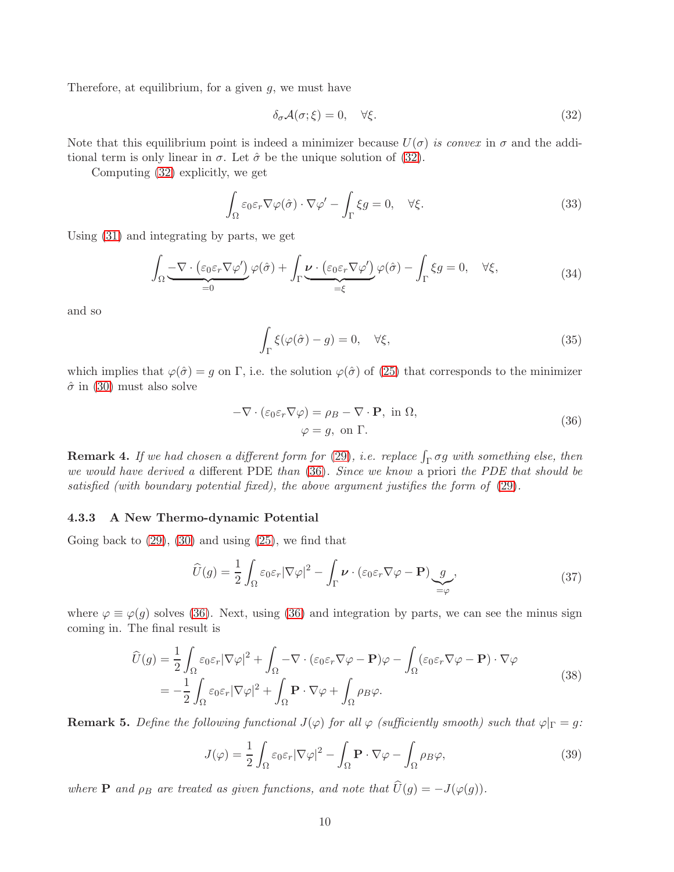Therefore, at equilibrium, for a given  $g$ , we must have

<span id="page-9-1"></span>
$$
\delta_{\sigma} \mathcal{A}(\sigma; \xi) = 0, \quad \forall \xi. \tag{32}
$$

Note that this equilibrium point is indeed a minimizer because  $U(\sigma)$  is convex in  $\sigma$  and the additional term is only linear in  $\sigma$ . Let  $\hat{\sigma}$  be the unique solution of [\(32\)](#page-9-1).

Computing [\(32\)](#page-9-1) explicitly, we get

$$
\int_{\Omega} \varepsilon_0 \varepsilon_r \nabla \varphi(\hat{\sigma}) \cdot \nabla \varphi' - \int_{\Gamma} \xi g = 0, \quad \forall \xi.
$$
\n(33)

Using [\(31\)](#page-8-2) and integrating by parts, we get

$$
\int_{\Omega} \underbrace{-\nabla \cdot (\varepsilon_0 \varepsilon_r \nabla \varphi')}_{=0} \varphi(\hat{\sigma}) + \int_{\Gamma} \underbrace{\nu \cdot (\varepsilon_0 \varepsilon_r \nabla \varphi')}_{= \xi} \varphi(\hat{\sigma}) - \int_{\Gamma} \xi g = 0, \quad \forall \xi,
$$
\n(34)

and so

$$
\int_{\Gamma} \xi(\varphi(\hat{\sigma}) - g) = 0, \quad \forall \xi,
$$
\n(35)

which implies that  $\varphi(\hat{\sigma}) = g$  on  $\Gamma$ , i.e. the solution  $\varphi(\hat{\sigma})$  of [\(25\)](#page-7-2) that corresponds to the minimizer  $\hat{\sigma}$  in [\(30\)](#page-8-3) must also solve

<span id="page-9-2"></span>
$$
-\nabla \cdot (\varepsilon_0 \varepsilon_r \nabla \varphi) = \rho_B - \nabla \cdot \mathbf{P}, \text{ in } \Omega,
$$
  

$$
\varphi = g, \text{ on } \Gamma.
$$
 (36)

<span id="page-9-0"></span>**Remark 4.** If we had chosen a different form for [\(29\)](#page-8-4), i.e. replace  $\int_{\Gamma} \sigma g$  with something else, then we would have derived a different PDE than  $(36)$ . Since we know a priori the PDE that should be satisfied (with boundary potential fixed), the above argument justifies the form of [\(29\)](#page-8-4).

#### 4.3.3 A New Thermo-dynamic Potential

Going back to  $(29)$ ,  $(30)$  and using  $(25)$ , we find that

$$
\widehat{U}(g) = \frac{1}{2} \int_{\Omega} \varepsilon_0 \varepsilon_r |\nabla \varphi|^2 - \int_{\Gamma} \nu \cdot (\varepsilon_0 \varepsilon_r \nabla \varphi - \mathbf{P}) \underbrace{g}_{=\varphi}, \tag{37}
$$

where  $\varphi \equiv \varphi(g)$  solves [\(36\)](#page-9-2). Next, using (36) and integration by parts, we can see the minus sign coming in. The final result is

$$
\widehat{U}(g) = \frac{1}{2} \int_{\Omega} \varepsilon_0 \varepsilon_r |\nabla \varphi|^2 + \int_{\Omega} -\nabla \cdot (\varepsilon_0 \varepsilon_r \nabla \varphi - \mathbf{P}) \varphi - \int_{\Omega} (\varepsilon_0 \varepsilon_r \nabla \varphi - \mathbf{P}) \cdot \nabla \varphi \n= -\frac{1}{2} \int_{\Omega} \varepsilon_0 \varepsilon_r |\nabla \varphi|^2 + \int_{\Omega} \mathbf{P} \cdot \nabla \varphi + \int_{\Omega} \rho_B \varphi.
$$
\n(38)

**Remark 5.** Define the following functional  $J(\varphi)$  for all  $\varphi$  (sufficiently smooth) such that  $\varphi|_{\Gamma} = g$ :

$$
J(\varphi) = \frac{1}{2} \int_{\Omega} \varepsilon_0 \varepsilon_r |\nabla \varphi|^2 - \int_{\Omega} \mathbf{P} \cdot \nabla \varphi - \int_{\Omega} \rho B \varphi,
$$
 (39)

where **P** and  $\rho_B$  are treated as given functions, and note that  $\widehat{U}(g) = -J(\varphi(g))$ .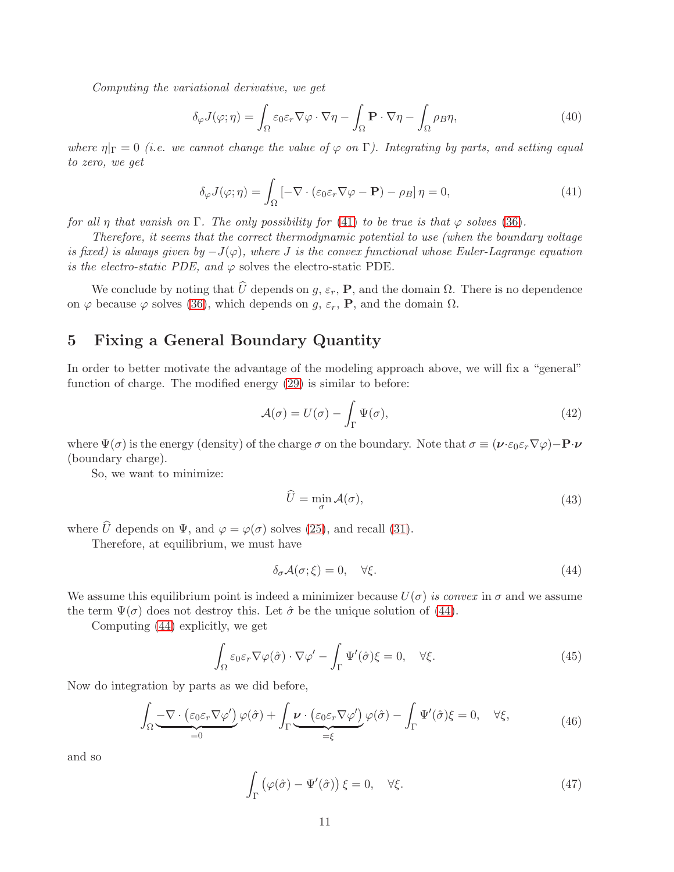Computing the variational derivative, we get

$$
\delta_{\varphi} J(\varphi; \eta) = \int_{\Omega} \varepsilon_0 \varepsilon_r \nabla \varphi \cdot \nabla \eta - \int_{\Omega} \mathbf{P} \cdot \nabla \eta - \int_{\Omega} \rho B \eta, \tag{40}
$$

where  $\eta|_{\Gamma} = 0$  (i.e. we cannot change the value of  $\varphi$  on  $\Gamma$ ). Integrating by parts, and setting equal to zero, we get

<span id="page-10-1"></span>
$$
\delta_{\varphi} J(\varphi; \eta) = \int_{\Omega} \left[ -\nabla \cdot (\varepsilon_0 \varepsilon_r \nabla \varphi - \mathbf{P}) - \rho_B \right] \eta = 0, \tag{41}
$$

for all η that vanish on Γ. The only possibility for [\(41\)](#page-10-1) to be true is that  $\varphi$  solves [\(36\)](#page-9-2).

Therefore, it seems that the correct thermodynamic potential to use (when the boundary voltage is fixed) is always given by  $-J(\varphi)$ , where J is the convex functional whose Euler-Lagrange equation is the electro-static PDE, and  $\varphi$  solves the electro-static PDE.

We conclude by noting that  $\hat{U}$  depends on g,  $\varepsilon_r$ , **P**, and the domain  $\Omega$ . There is no dependence on  $\varphi$  because  $\varphi$  solves [\(36\)](#page-9-2), which depends on  $g$ ,  $\varepsilon_r$ , **P**, and the domain  $\Omega$ .

# <span id="page-10-0"></span>5 Fixing a General Boundary Quantity

In order to better motivate the advantage of the modeling approach above, we will fix a "general" function of charge. The modified energy [\(29\)](#page-8-4) is similar to before:

<span id="page-10-3"></span>
$$
\mathcal{A}(\sigma) = U(\sigma) - \int_{\Gamma} \Psi(\sigma),\tag{42}
$$

where  $\Psi(\sigma)$  is the energy (density) of the charge  $\sigma$  on the boundary. Note that  $\sigma \equiv (\nu \cdot \varepsilon_0 \varepsilon_r \nabla \varphi) - \mathbf{P} \cdot \nu$ (boundary charge).

So, we want to minimize:

$$
\widehat{U} = \min_{\sigma} \mathcal{A}(\sigma),\tag{43}
$$

where  $\hat{U}$  depends on  $\Psi$ , and  $\varphi = \varphi(\sigma)$  solves [\(25\)](#page-7-2), and recall [\(31\)](#page-8-2).

Therefore, at equilibrium, we must have

<span id="page-10-2"></span>
$$
\delta_{\sigma} \mathcal{A}(\sigma; \xi) = 0, \quad \forall \xi. \tag{44}
$$

We assume this equilibrium point is indeed a minimizer because  $U(\sigma)$  is convex in  $\sigma$  and we assume the term  $\Psi(\sigma)$  does not destroy this. Let  $\hat{\sigma}$  be the unique solution of [\(44\)](#page-10-2).

Computing [\(44\)](#page-10-2) explicitly, we get

$$
\int_{\Omega} \varepsilon_0 \varepsilon_r \nabla \varphi(\hat{\sigma}) \cdot \nabla \varphi' - \int_{\Gamma} \Psi'(\hat{\sigma}) \xi = 0, \quad \forall \xi.
$$
\n(45)

Now do integration by parts as we did before,

$$
\int_{\Omega} \underbrace{-\nabla \cdot (\varepsilon_0 \varepsilon_r \nabla \varphi')}_{=0} \varphi(\hat{\sigma}) + \int_{\Gamma} \underbrace{\nu \cdot (\varepsilon_0 \varepsilon_r \nabla \varphi')}_{= \xi} \varphi(\hat{\sigma}) - \int_{\Gamma} \Psi'(\hat{\sigma}) \xi = 0, \quad \forall \xi,
$$
\n(46)

and so

$$
\int_{\Gamma} \left( \varphi(\hat{\sigma}) - \Psi'(\hat{\sigma}) \right) \xi = 0, \quad \forall \xi.
$$
\n(47)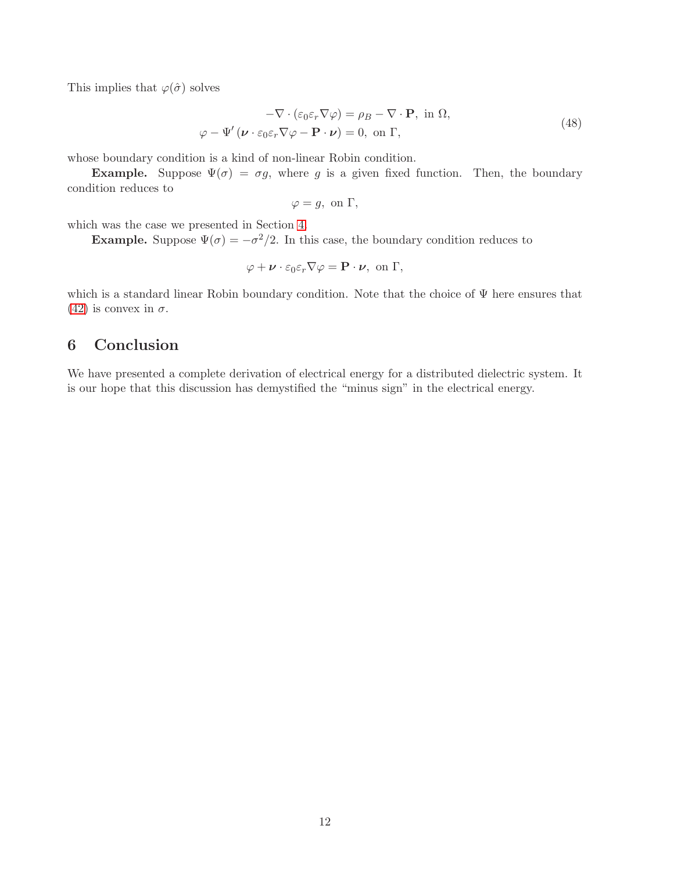This implies that  $\varphi(\hat{\sigma})$  solves

$$
-\nabla \cdot (\varepsilon_0 \varepsilon_r \nabla \varphi) = \rho_B - \nabla \cdot \mathbf{P}, \text{ in } \Omega,
$$
  

$$
\varphi - \Psi' (\nu \cdot \varepsilon_0 \varepsilon_r \nabla \varphi - \mathbf{P} \cdot \nu) = 0, \text{ on } \Gamma,
$$
 (48)

whose boundary condition is a kind of non-linear Robin condition.

**Example.** Suppose  $\Psi(\sigma) = \sigma g$ , where g is a given fixed function. Then, the boundary condition reduces to

$$
\varphi = g, \text{ on } \Gamma,
$$

which was the case we presented in Section [4.](#page-6-0)

**Example.** Suppose  $\Psi(\sigma) = -\sigma^2/2$ . In this case, the boundary condition reduces to

$$
\varphi + \nu \cdot \varepsilon_0 \varepsilon_r \nabla \varphi = \mathbf{P} \cdot \nu, \text{ on } \Gamma,
$$

which is a standard linear Robin boundary condition. Note that the choice of Ψ here ensures that [\(42\)](#page-10-3) is convex in  $\sigma$ .

# <span id="page-11-0"></span>6 Conclusion

We have presented a complete derivation of electrical energy for a distributed dielectric system. It is our hope that this discussion has demystified the "minus sign" in the electrical energy.